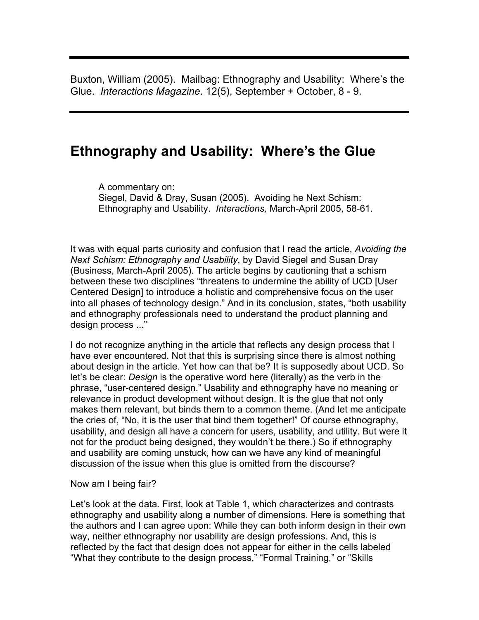Buxton, William (2005). Mailbag: Ethnography and Usability: Where's the Glue. *Interactions Magazine*. 12(5), September + October, 8 - 9.

## **Ethnography and Usability: Where's the Glue**

A commentary on: Siegel, David & Dray, Susan (2005). Avoiding he Next Schism: Ethnography and Usability. *Interactions,* March-April 2005, 58-61.

It was with equal parts curiosity and confusion that I read the article, *Avoiding the Next Schism: Ethnography and Usability*, by David Siegel and Susan Dray (Business, March-April 2005). The article begins by cautioning that a schism between these two disciplines "threatens to undermine the ability of UCD [User Centered Design] to introduce a holistic and comprehensive focus on the user into all phases of technology design." And in its conclusion, states, "both usability and ethnography professionals need to understand the product planning and design process ..."

I do not recognize anything in the article that reflects any design process that I have ever encountered. Not that this is surprising since there is almost nothing about design in the article. Yet how can that be? It is supposedly about UCD. So let's be clear: *Design* is the operative word here (literally) as the verb in the phrase, "user-centered design." Usability and ethnography have no meaning or relevance in product development without design. It is the glue that not only makes them relevant, but binds them to a common theme. (And let me anticipate the cries of, "No, it is the user that bind them together!" Of course ethnography, usability, and design all have a concern for users, usability, and utility. But were it not for the product being designed, they wouldn't be there.) So if ethnography and usability are coming unstuck, how can we have any kind of meaningful discussion of the issue when this glue is omitted from the discourse?

## Now am I being fair?

Let's look at the data. First, look at Table 1, which characterizes and contrasts ethnography and usability along a number of dimensions. Here is something that the authors and I can agree upon: While they can both inform design in their own way, neither ethnography nor usability are design professions. And, this is reflected by the fact that design does not appear for either in the cells labeled "What they contribute to the design process," "Formal Training," or "Skills